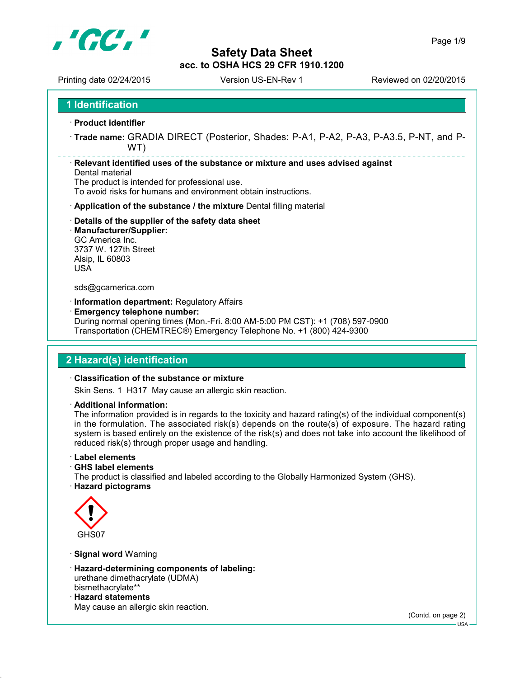

Printing date 02/24/2015 Version US-EN-Rev 1 Reviewed on 02/20/2015

**1 Identification**

- **Product identifier**
- **Trade name:** GRADIA DIRECT (Posterior, Shades: P-A1, P-A2, P-A3, P-A3.5, P-NT, and P-WT)

**Relevant identified uses of the substance or mixture and uses advised against**

### Dental material

The product is intended for professional use.

To avoid risks for humans and environment obtain instructions.

- **Application of the substance / the mixture** Dental filling material
- **Details of the supplier of the safety data sheet**
- **Manufacturer/Supplier:** GC America Inc. 3737 W. 127th Street Alsip, IL 60803 USA

### sds@gcamerica.com

- **Information department:** Regulatory Affairs
- **Emergency telephone number:**

During normal opening times (Mon.-Fri. 8:00 AM-5:00 PM CST): +1 (708) 597-0900 Transportation (CHEMTREC®) Emergency Telephone No. +1 (800) 424-9300

## **2 Hazard(s) identification**

### **Classification of the substance or mixture**

Skin Sens. 1 H317 May cause an allergic skin reaction.

**Additional information:**

The information provided is in regards to the toxicity and hazard rating(s) of the individual component(s) in the formulation. The associated risk(s) depends on the route(s) of exposure. The hazard rating system is based entirely on the existence of the risk(s) and does not take into account the likelihood of reduced risk(s) through proper usage and handling.

**Label elements**

- **GHS label elements**
- The product is classified and labeled according to the Globally Harmonized System (GHS).
- **Hazard pictograms**



- **Signal word** Warning
- **Hazard-determining components of labeling:** urethane dimethacrylate (UDMA) bismethacrylate\*\*
- **Hazard statements** May cause an allergic skin reaction.

(Contd. on page 2)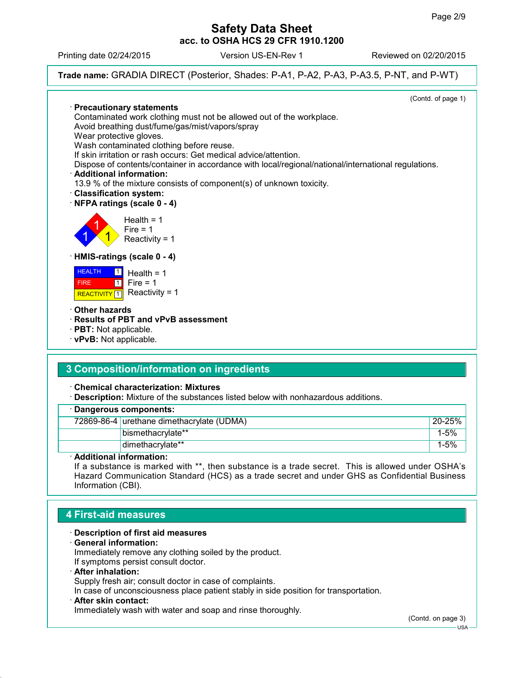Printing date 02/24/2015 Version US-EN-Rev 1 Reviewed on 02/20/2015

**Trade name:** GRADIA DIRECT (Posterior, Shades: P-A1, P-A2, P-A3, P-A3.5, P-NT, and P-WT)



## **4 First-aid measures**

- **Description of first aid measures**
- **General information:**

Immediately remove any clothing soiled by the product.

- If symptoms persist consult doctor.
- **After inhalation:**

Supply fresh air; consult doctor in case of complaints.

In case of unconsciousness place patient stably in side position for transportation.

### **After skin contact:**

Immediately wash with water and soap and rinse thoroughly.

(Contd. on page 3)

USA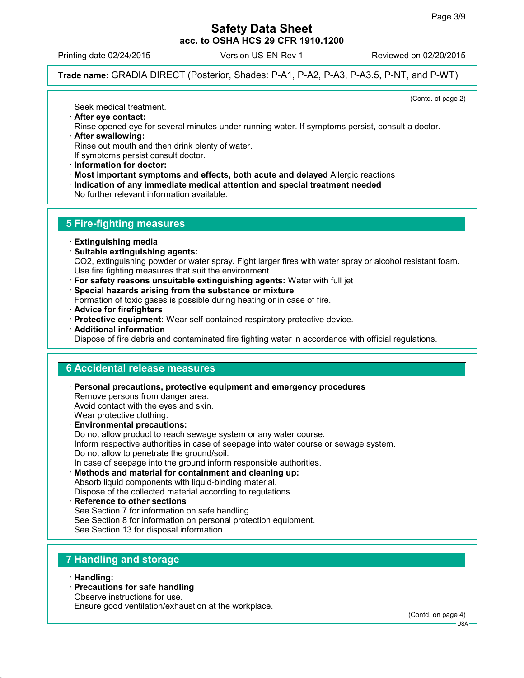Printing date 02/24/2015 Version US-EN-Rev 1 Reviewed on 02/20/2015

**Trade name:** GRADIA DIRECT (Posterior, Shades: P-A1, P-A2, P-A3, P-A3.5, P-NT, and P-WT)

(Contd. of page 2)

Seek medical treatment.

 **After eye contact:** Rinse opened eye for several minutes under running water. If symptoms persist, consult a doctor. **After swallowing:**

Rinse out mouth and then drink plenty of water.

If symptoms persist consult doctor.

- **Information for doctor:**
- **Most important symptoms and effects, both acute and delayed** Allergic reactions

**Indication of any immediate medical attention and special treatment needed**

No further relevant information available.

# **5 Fire-fighting measures**

- **Extinguishing media**
- **Suitable extinguishing agents:** CO2, extinguishing powder or water spray. Fight larger fires with water spray or alcohol resistant foam. Use fire fighting measures that suit the environment.
- **For safety reasons unsuitable extinguishing agents:** Water with full jet
- **Special hazards arising from the substance or mixture**

Formation of toxic gases is possible during heating or in case of fire.

- **Advice for firefighters**
- **Protective equipment:** Wear self-contained respiratory protective device.
- **Additional information**

Dispose of fire debris and contaminated fire fighting water in accordance with official regulations.

## **6 Accidental release measures**

- **Personal precautions, protective equipment and emergency procedures** Remove persons from danger area. Avoid contact with the eyes and skin. Wear protective clothing. **Environmental precautions:** Do not allow product to reach sewage system or any water course.
- Inform respective authorities in case of seepage into water course or sewage system. Do not allow to penetrate the ground/soil. In case of seepage into the ground inform responsible authorities.
- **Methods and material for containment and cleaning up:** Absorb liquid components with liquid-binding material.

Dispose of the collected material according to regulations.

 **Reference to other sections** See Section 7 for information on safe handling. See Section 8 for information on personal protection equipment.

See Section 13 for disposal information.

# **7 Handling and storage**

**Handling:**

- **Precautions for safe handling**
- Observe instructions for use.

Ensure good ventilation/exhaustion at the workplace.

(Contd. on page 4)

 $-1$ ISA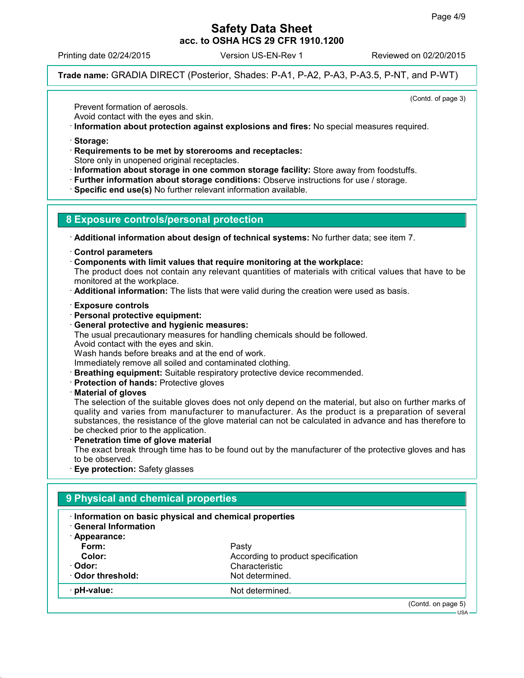Printing date 02/24/2015 Version US-EN-Rev 1 Reviewed on 02/20/2015

**Trade name:** GRADIA DIRECT (Posterior, Shades: P-A1, P-A2, P-A3, P-A3.5, P-NT, and P-WT)

(Contd. of page 3)

Prevent formation of aerosols.

Avoid contact with the eyes and skin.

- **Information about protection against explosions and fires:** No special measures required.
- **Storage:**
- **Requirements to be met by storerooms and receptacles:**
- Store only in unopened original receptacles.
- **Information about storage in one common storage facility:** Store away from foodstuffs.
- **Further information about storage conditions:** Observe instructions for use / storage.
- **Specific end use(s)** No further relevant information available.

## **8 Exposure controls/personal protection**

**Additional information about design of technical systems:** No further data; see item 7.

- **Control parameters**
- **Components with limit values that require monitoring at the workplace:**

The product does not contain any relevant quantities of materials with critical values that have to be monitored at the workplace.

- **Additional information:** The lists that were valid during the creation were used as basis.
- **Exposure controls**
- **Personal protective equipment:**
- **General protective and hygienic measures:**

The usual precautionary measures for handling chemicals should be followed.

Avoid contact with the eyes and skin.

Wash hands before breaks and at the end of work.

Immediately remove all soiled and contaminated clothing.

- **Breathing equipment:** Suitable respiratory protective device recommended.
- **Protection of hands:** Protective gloves
- **Material of gloves**

The selection of the suitable gloves does not only depend on the material, but also on further marks of quality and varies from manufacturer to manufacturer. As the product is a preparation of several substances, the resistance of the glove material can not be calculated in advance and has therefore to be checked prior to the application.

**Penetration time of glove material**

The exact break through time has to be found out by the manufacturer of the protective gloves and has to be observed.

**Eye protection:** Safety glasses

| Information on basic physical and chemical properties<br><b>General Information</b> |                                    |  |
|-------------------------------------------------------------------------------------|------------------------------------|--|
| · Appearance:                                                                       |                                    |  |
| Form:                                                                               | Pasty                              |  |
| Color:                                                                              | According to product specification |  |
| · Odor:                                                                             | Characteristic                     |  |
| ⋅ Odor threshold:                                                                   | Not determined.                    |  |
| $\cdot$ pH-value:                                                                   | Not determined.                    |  |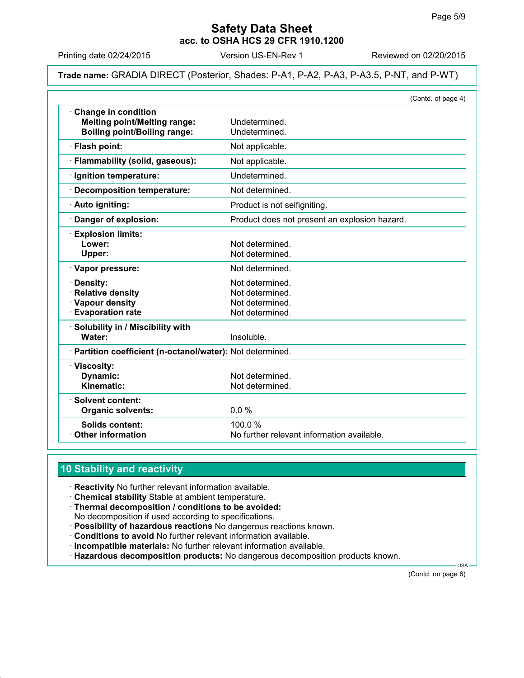Printing date 02/24/2015 Version US-EN-Rev 1 Reviewed on 02/20/2015

### **Trade name:** GRADIA DIRECT (Posterior, Shades: P-A1, P-A2, P-A3, P-A3.5, P-NT, and P-WT)

|                                                                                                   |                                                                          | (Contd. of page 4) |
|---------------------------------------------------------------------------------------------------|--------------------------------------------------------------------------|--------------------|
| Change in condition<br><b>Melting point/Melting range:</b><br><b>Boiling point/Boiling range:</b> | Undetermined.<br>Undetermined.                                           |                    |
| · Flash point:                                                                                    | Not applicable.                                                          |                    |
| · Flammability (solid, gaseous):                                                                  | Not applicable.                                                          |                    |
| · Ignition temperature:                                                                           | Undetermined.                                                            |                    |
| · Decomposition temperature:                                                                      | Not determined.                                                          |                    |
| · Auto igniting:                                                                                  | Product is not selfigniting.                                             |                    |
| Danger of explosion:                                                                              | Product does not present an explosion hazard.                            |                    |
| <b>Explosion limits:</b><br>Lower:<br>Upper:                                                      | Not determined.<br>Not determined.                                       |                    |
| · Vapor pressure:                                                                                 | Not determined.                                                          |                    |
| Density:<br><b>Relative density</b><br>· Vapour density<br><b>Evaporation rate</b>                | Not determined.<br>Not determined.<br>Not determined.<br>Not determined. |                    |
| · Solubility in / Miscibility with<br>Water:                                                      | Insoluble.                                                               |                    |
| · Partition coefficient (n-octanol/water): Not determined.                                        |                                                                          |                    |
| · Viscosity:<br>Dynamic:<br>Kinematic:                                                            | Not determined.<br>Not determined.                                       |                    |
| · Solvent content:<br><b>Organic solvents:</b>                                                    | 0.0%                                                                     |                    |
| Solids content:<br><b>Other information</b>                                                       | 100.0%<br>No further relevant information available.                     |                    |

# **10 Stability and reactivity**

**Reactivity** No further relevant information available.

- **Chemical stability** Stable at ambient temperature.
- **Thermal decomposition / conditions to be avoided:**
- No decomposition if used according to specifications.
- **Possibility of hazardous reactions** No dangerous reactions known.
- **Conditions to avoid** No further relevant information available.
- **Incompatible materials:** No further relevant information available.
- **Hazardous decomposition products:** No dangerous decomposition products known.

(Contd. on page 6)

USA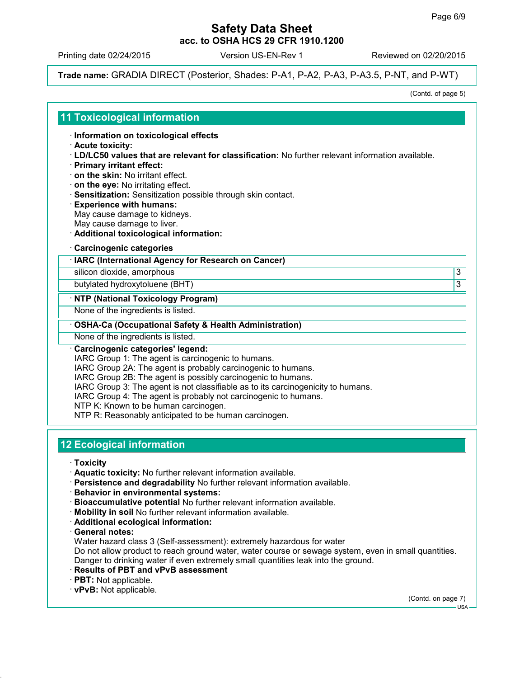Printing date 02/24/2015 Version US-EN-Rev 1 Reviewed on 02/20/2015

**Trade name:** GRADIA DIRECT (Posterior, Shades: P-A1, P-A2, P-A3, P-A3.5, P-NT, and P-WT)

(Contd. of page 5)

## **11 Toxicological information**

**Information on toxicological effects**

### **Acute toxicity:**

- **LD/LC50 values that are relevant for classification:** No further relevant information available.
- **Primary irritant effect:**
- **on the skin:** No irritant effect.
- **on the eye:** No irritating effect.
- **Sensitization:** Sensitization possible through skin contact.
- **Experience with humans:** May cause damage to kidneys. May cause damage to liver.
- **Additional toxicological information:**
- **Carcinogenic categories**

### **IARC (International Agency for Research on Cancer)**

silicon dioxide, amorphous 3

butylated hydroxytoluene (BHT) 3

### **NTP (National Toxicology Program)**

None of the ingredients is listed.

### **OSHA-Ca (Occupational Safety & Health Administration)**

None of the ingredients is listed.

### **Carcinogenic categories' legend:**

IARC Group 1: The agent is carcinogenic to humans.

IARC Group 2A: The agent is probably carcinogenic to humans.

IARC Group 2B: The agent is possibly carcinogenic to humans.

IARC Group 3: The agent is not classifiable as to its carcinogenicity to humans.

IARC Group 4: The agent is probably not carcinogenic to humans.

NTP K: Known to be human carcinogen.

NTP R: Reasonably anticipated to be human carcinogen.

# **12 Ecological information**

- **Toxicity**
- **Aquatic toxicity:** No further relevant information available.
- **Persistence and degradability** No further relevant information available.
- **Behavior in environmental systems:**
- **Bioaccumulative potential** No further relevant information available.
- **Mobility in soil** No further relevant information available.
- **Additional ecological information:**
- **General notes:**

Water hazard class 3 (Self-assessment): extremely hazardous for water

Do not allow product to reach ground water, water course or sewage system, even in small quantities. Danger to drinking water if even extremely small quantities leak into the ground.

- **Results of PBT and vPvB assessment**
- **PBT:** Not applicable.
- **vPvB:** Not applicable.

(Contd. on page 7)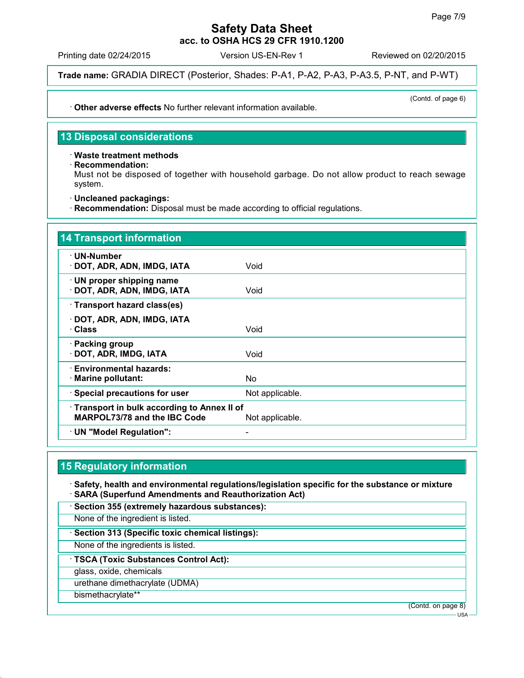Printing date 02/24/2015 Version US-EN-Rev 1 Reviewed on 02/20/2015

(Contd. of page 6)

**Trade name:** GRADIA DIRECT (Posterior, Shades: P-A1, P-A2, P-A3, P-A3.5, P-NT, and P-WT)

**Other adverse effects** No further relevant information available.

**13 Disposal considerations**

**Waste treatment methods**

**Recommendation:**

Must not be disposed of together with household garbage. Do not allow product to reach sewage system.

**Uncleaned packagings:**

**Recommendation:** Disposal must be made according to official regulations.

| 14 Transport information                                                                      |                 |
|-----------------------------------------------------------------------------------------------|-----------------|
| ∙ UN-Number<br>· DOT, ADR, ADN, IMDG, IATA                                                    | Void            |
| $\cdot$ UN proper shipping name<br>· DOT, ADR, ADN, IMDG, IATA                                | Void            |
| · Transport hazard class(es)                                                                  |                 |
| · DOT, ADR, ADN, IMDG, IATA<br>· Class                                                        | Void            |
| · Packing group<br>· DOT, ADR, IMDG, IATA                                                     | Void            |
| · Environmental hazards:<br>· Marine pollutant:                                               | No.             |
| · Special precautions for user                                                                | Not applicable. |
| Transport in bulk according to Annex II of<br>MARPOL73/78 and the IBC Code<br>Not applicable. |                 |
| $\cdot$ UN "Model Regulation":                                                                |                 |

# **15 Regulatory information**

 **Safety, health and environmental regulations/legislation specific for the substance or mixture SARA (Superfund Amendments and Reauthorization Act)**

**Section 355 (extremely hazardous substances):**

None of the ingredient is listed.

**Section 313 (Specific toxic chemical listings):**

None of the ingredients is listed.

**TSCA (Toxic Substances Control Act):**

glass, oxide, chemicals

urethane dimethacrylate (UDMA)

bismethacrylate\*\*

(Contd. on page 8)

USA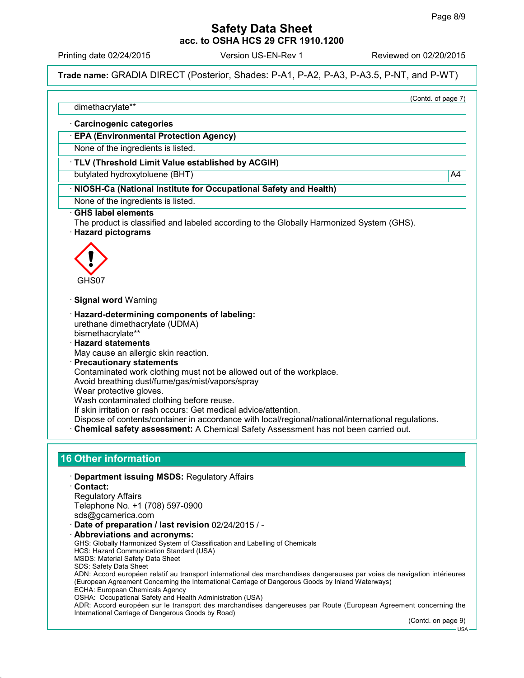Printing date 02/24/2015 Version US-EN-Rev 1 Reviewed on 02/20/2015

**Trade name:** GRADIA DIRECT (Posterior, Shades: P-A1, P-A2, P-A3, P-A3.5, P-NT, and P-WT)

(Contd. of page 7)

dimethacrylate\*\*

**Carcinogenic categories**

**EPA (Environmental Protection Agency)**

None of the ingredients is listed.

### **TLV (Threshold Limit Value established by ACGIH)**

butylated hydroxytoluene (BHT) A4

### **NIOSH-Ca (National Institute for Occupational Safety and Health)**

None of the ingredients is listed.

### **GHS label elements**

- The product is classified and labeled according to the Globally Harmonized System (GHS).
- **Hazard pictograms**



- **Signal word** Warning
- **Hazard-determining components of labeling:** urethane dimethacrylate (UDMA) bismethacrylate\*\*
- **Hazard statements**
- May cause an allergic skin reaction.
- **Precautionary statements**

Contaminated work clothing must not be allowed out of the workplace.

Avoid breathing dust/fume/gas/mist/vapors/spray

Wear protective gloves.

Wash contaminated clothing before reuse.

If skin irritation or rash occurs: Get medical advice/attention.

Dispose of contents/container in accordance with local/regional/national/international regulations.

**Chemical safety assessment:** A Chemical Safety Assessment has not been carried out.

## **16 Other information**

 **Department issuing MSDS:** Regulatory Affairs **Contact:** Regulatory Affairs Telephone No. +1 (708) 597-0900 sds@gcamerica.com **Date of preparation / last revision** 02/24/2015 / - **Abbreviations and acronyms:** GHS: Globally Harmonized System of Classification and Labelling of Chemicals HCS: Hazard Communication Standard (USA) MSDS: Material Safety Data Sheet SDS: Safety Data Sheet ADN: Accord européen relatif au transport international des marchandises dangereuses par voies de navigation intérieures (European Agreement Concerning the International Carriage of Dangerous Goods by Inland Waterways) ECHA: European Chemicals Agency

OSHA: Occupational Safety and Health Administration (USA)

ADR: Accord européen sur le transport des marchandises dangereuses par Route (European Agreement concerning the International Carriage of Dangerous Goods by Road)

(Contd. on page 9)

USA